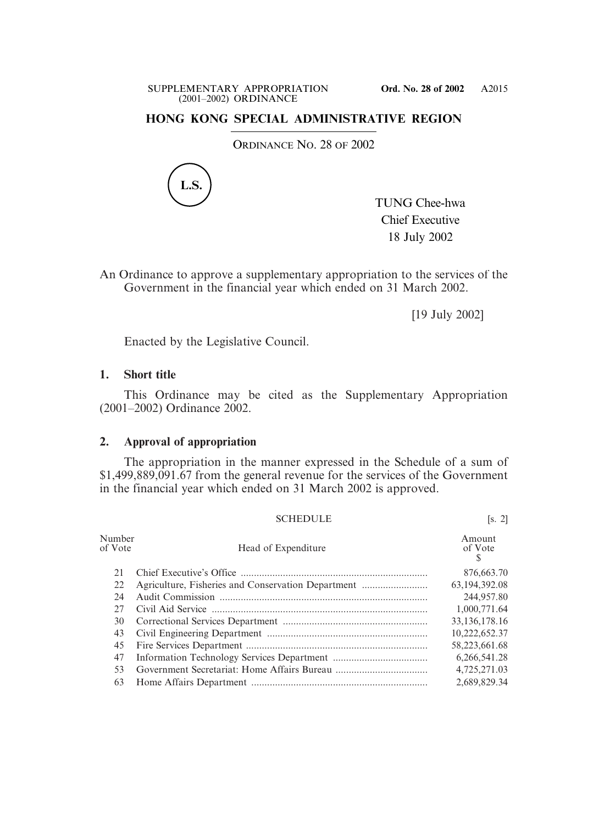## **HONG KONG SPECIAL ADMINISTRATIVE REGION**

ORDINANCE NO. 28 OF 2002



TUNG Chee-hwa Chief Executive 18 July 2002

SCHEDULE [s. 2]

An Ordinance to approve a supplementary appropriation to the services of the Government in the financial year which ended on 31 March 2002.

[19 July 2002]

Enacted by the Legislative Council.

## **1. Short title**

This Ordinance may be cited as the Supplementary Appropriation (2001–2002) Ordinance 2002.

## **2. Approval of appropriation**

The appropriation in the manner expressed in the Schedule of a sum of \$1,499,889,091.67 from the general revenue for the services of the Government in the financial year which ended on 31 March 2002 is approved.

| Number<br>of Vote | Head of Expenditure                                | Amount<br>of Vote<br>S |
|-------------------|----------------------------------------------------|------------------------|
| 21                |                                                    | 876,663.70             |
| 22                | Agriculture, Fisheries and Conservation Department | 63,194,392.08          |
| 24                |                                                    | 244,957.80             |
| 27                |                                                    | 1,000,771.64           |
| 30                |                                                    | 33,136,178.16          |
| 43                |                                                    | 10,222,652.37          |
| 45                |                                                    | 58,223,661.68          |
| 47                |                                                    | 6,266,541.28           |
| 53                |                                                    | 4,725,271.03           |
| 63                |                                                    | 2,689,829.34           |